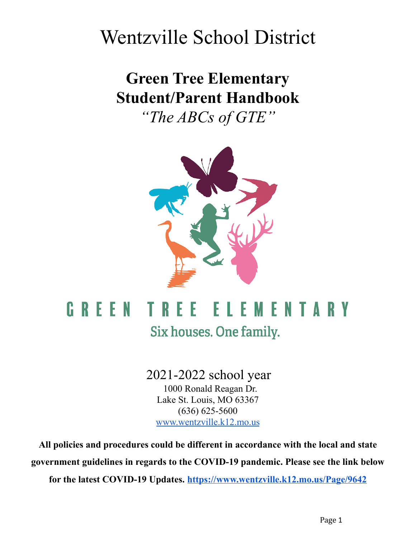# Wentzville School District

# **Green Tree Elementary Student/Parent Handbook**

*"The ABCs of GTE"*



# **GREEN TREE** ELEMENTARY Six houses. One family.

2021-2022 school year 1000 Ronald Reagan Dr. Lake St. Louis, MO 63367 (636) 625-5600 [www.wentzville.k12.mo.us](http://www.wsdr4.org)

**All policies and procedures could be different in accordance with the local and state government guidelines in regards to the COVID-19 pandemic. Please see the link below**

**for the latest COVID-19 Updates. <https://www.wentzville.k12.mo.us/Page/9642>**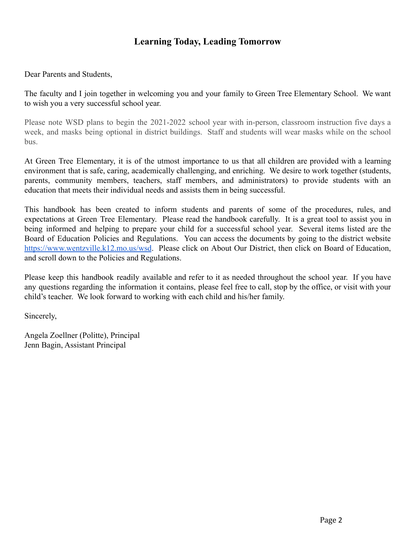## **Learning Today, Leading Tomorrow**

Dear Parents and Students,

The faculty and I join together in welcoming you and your family to Green Tree Elementary School. We want to wish you a very successful school year.

Please note WSD plans to begin the 2021-2022 school year with in-person, classroom instruction five days a week, and masks being optional in district buildings. Staff and students will wear masks while on the school bus.

At Green Tree Elementary, it is of the utmost importance to us that all children are provided with a learning environment that is safe, caring, academically challenging, and enriching. We desire to work together (students, parents, community members, teachers, staff members, and administrators) to provide students with an education that meets their individual needs and assists them in being successful.

This handbook has been created to inform students and parents of some of the procedures, rules, and expectations at Green Tree Elementary. Please read the handbook carefully. It is a great tool to assist you in being informed and helping to prepare your child for a successful school year. Several items listed are the Board of Education Policies and Regulations. You can access the documents by going to the district website <https://www.wentzville.k12.mo.us/wsd>. Please click on About Our District, then click on Board of Education, and scroll down to the Policies and Regulations.

Please keep this handbook readily available and refer to it as needed throughout the school year. If you have any questions regarding the information it contains, please feel free to call, stop by the office, or visit with your child's teacher. We look forward to working with each child and his/her family.

Sincerely,

Angela Zoellner (Politte), Principal Jenn Bagin, Assistant Principal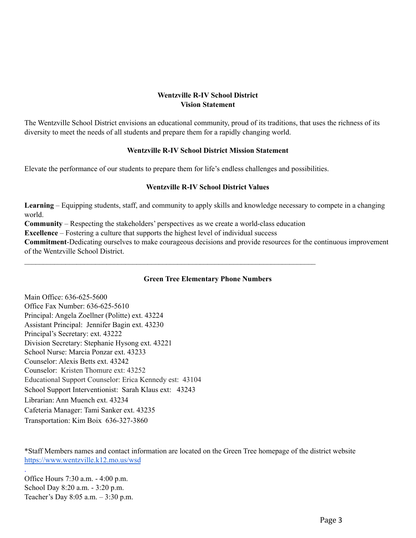## **Wentzville R-IV School District Vision Statement**

The Wentzville School District envisions an educational community, proud of its traditions, that uses the richness of its diversity to meet the needs of all students and prepare them for a rapidly changing world.

#### **Wentzville R-IV School District Mission Statement**

Elevate the performance of our students to prepare them for life's endless challenges and possibilities.

## **Wentzville R-IV School District Values**

**Learning** – Equipping students, staff, and community to apply skills and knowledge necessary to compete in a changing world.

**Community** – Respecting the stakeholders' perspectives as we create a world-class education

 $\mathcal{L}_\mathcal{L} = \{ \mathcal{L}_\mathcal{L} = \{ \mathcal{L}_\mathcal{L} = \{ \mathcal{L}_\mathcal{L} = \{ \mathcal{L}_\mathcal{L} = \{ \mathcal{L}_\mathcal{L} = \{ \mathcal{L}_\mathcal{L} = \{ \mathcal{L}_\mathcal{L} = \{ \mathcal{L}_\mathcal{L} = \{ \mathcal{L}_\mathcal{L} = \{ \mathcal{L}_\mathcal{L} = \{ \mathcal{L}_\mathcal{L} = \{ \mathcal{L}_\mathcal{L} = \{ \mathcal{L}_\mathcal{L} = \{ \mathcal{L}_\mathcal{$ 

**Excellence** – Fostering a culture that supports the highest level of individual success

**Commitment**-Dedicating ourselves to make courageous decisions and provide resources for the continuous improvement of the Wentzville School District.

## **Green Tree Elementary Phone Numbers**

Main Office: 636-625-5600 Office Fax Number: 636-625-5610 Principal: Angela Zoellner (Politte) ext. 43224 Assistant Principal: Jennifer Bagin ext. 43230 Principal's Secretary: ext. 43222 Division Secretary: Stephanie Hysong ext. 43221 School Nurse: Marcia Ponzar ext. 43233 Counselor: Alexis Betts ext. 43242 Counselor: Kristen Thomure ext: 43252 Educational Support Counselor: Erica Kennedy est: 43104 School Support Interventionist: Sarah Klaus ext: 43243 Librarian: Ann Muench ext. 43234 Cafeteria Manager: Tami Sanker ext. 43235 Transportation: Kim Boix 636-327-3860

\*Staff Members names and contact information are located on the Green Tree homepage of the district website [https://www.wentzville.k12.mo.us/wsd](https://www.wentzville.k12.mo.us/site/Default.aspx?PageID=19)

Office Hours 7:30 a.m. - 4:00 p.m. School Day 8:20 a.m. - 3:20 p.m. Teacher's Day 8:05 a.m. – 3:30 p.m.

.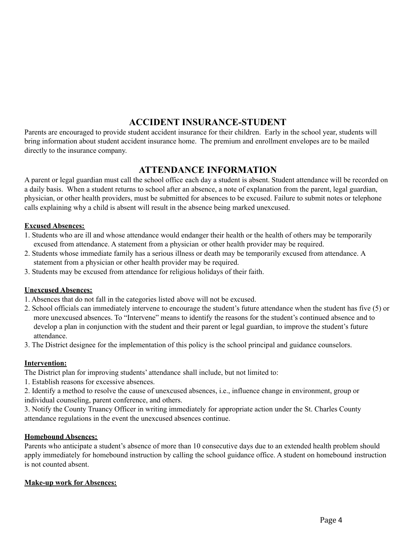# **ACCIDENT INSURANCE-STUDENT**

Parents are encouraged to provide student accident insurance for their children. Early in the school year, students will bring information about student accident insurance home. The premium and enrollment envelopes are to be mailed directly to the insurance company.

## **ATTENDANCE INFORMATION**

A parent or legal guardian must call the school office each day a student is absent. Student attendance will be recorded on a daily basis. When a student returns to school after an absence, a note of explanation from the parent, legal guardian, physician, or other health providers, must be submitted for absences to be excused. Failure to submit notes or telephone calls explaining why a child is absent will result in the absence being marked unexcused.

## **Excused Absences:**

- 1. Students who are ill and whose attendance would endanger their health or the health of others may be temporarily excused from attendance. A statement from a physician or other health provider may be required.
- 2. Students whose immediate family has a serious illness or death may be temporarily excused from attendance. A statement from a physician or other health provider may be required.
- 3. Students may be excused from attendance for religious holidays of their faith.

## **Unexcused Absences:**

- 1. Absences that do not fall in the categories listed above will not be excused.
- 2. School officials can immediately intervene to encourage the student's future attendance when the student has five (5) or more unexcused absences. To "Intervene" means to identify the reasons for the student's continued absence and to develop a plan in conjunction with the student and their parent or legal guardian, to improve the student's future attendance.
- 3. The District designee for the implementation of this policy is the school principal and guidance counselors.

## **Intervention:**

The District plan for improving students' attendance shall include, but not limited to:

1. Establish reasons for excessive absences.

2. Identify a method to resolve the cause of unexcused absences, i.e., influence change in environment, group or individual counseling, parent conference, and others.

3. Notify the County Truancy Officer in writing immediately for appropriate action under the St. Charles County attendance regulations in the event the unexcused absences continue.

## **Homebound Absences:**

Parents who anticipate a student's absence of more than 10 consecutive days due to an extended health problem should apply immediately for homebound instruction by calling the school guidance office. A student on homebound instruction is not counted absent.

## **Make-up work for Absences:**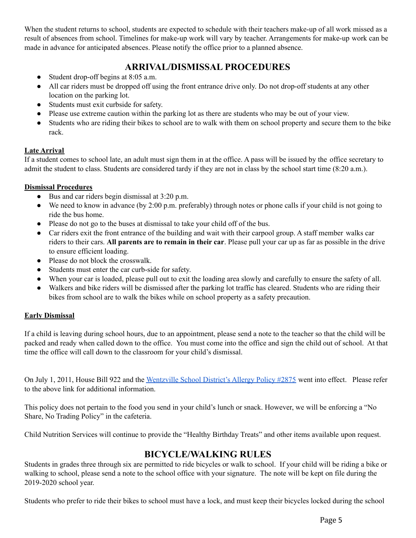When the student returns to school, students are expected to schedule with their teachers make-up of all work missed as a result of absences from school. Timelines for make-up work will vary by teacher. Arrangements for make-up work can be made in advance for anticipated absences. Please notify the office prior to a planned absence.

## **ARRIVAL/DISMISSAL PROCEDURES**

- Student drop-off begins at 8:05 a.m.
- All car riders must be dropped off using the front entrance drive only. Do not drop-off students at any other location on the parking lot.
- Students must exit curbside for safety.
- Please use extreme caution within the parking lot as there are students who may be out of your view.
- Students who are riding their bikes to school are to walk with them on school property and secure them to the bike rack.

## **Late Arrival**

If a student comes to school late, an adult must sign them in at the office. A pass will be issued by the office secretary to admit the student to class. Students are considered tardy if they are not in class by the school start time (8:20 a.m.).

## **Dismissal Procedures**

- Bus and car riders begin dismissal at 3:20 p.m.
- We need to know in advance (by 2:00 p.m. preferably) through notes or phone calls if your child is not going to ride the bus home.
- Please do not go to the buses at dismissal to take your child off of the bus.
- Car riders exit the front entrance of the building and wait with their carpool group. A staff member walks car riders to their cars. **All parents are to remain in their car**. Please pull your car up as far as possible in the drive to ensure efficient loading.
- Please do not block the crosswalk.
- Students must enter the car curb-side for safety.
- When your car is loaded, please pull out to exit the loading area slowly and carefully to ensure the safety of all.
- Walkers and bike riders will be dismissed after the parking lot traffic has cleared. Students who are riding their bikes from school are to walk the bikes while on school property as a safety precaution.

## **Early Dismissal**

If a child is leaving during school hours, due to an appointment, please send a note to the teacher so that the child will be packed and ready when called down to the office. You must come into the office and sign the child out of school. At that time the office will call down to the classroom for your child's dismissal.

On July 1, 2011, House Bill 922 and the [Wentzville](http://www.boarddocs.com/mo/wsdr4/Board.nsf/Public#2875) School District's Allergy Policy #2875 went into effect. Please refer to the above link for additional information.

This policy does not pertain to the food you send in your child's lunch or snack. However, we will be enforcing a "No Share, No Trading Policy" in the cafeteria.

Child Nutrition Services will continue to provide the "Healthy Birthday Treats" and other items available upon request.

## **BICYCLE/WALKING RULES**

Students in grades three through six are permitted to ride bicycles or walk to school. If your child will be riding a bike or walking to school, please send a note to the school office with your signature. The note will be kept on file during the 2019-2020 school year.

Students who prefer to ride their bikes to school must have a lock, and must keep their bicycles locked during the school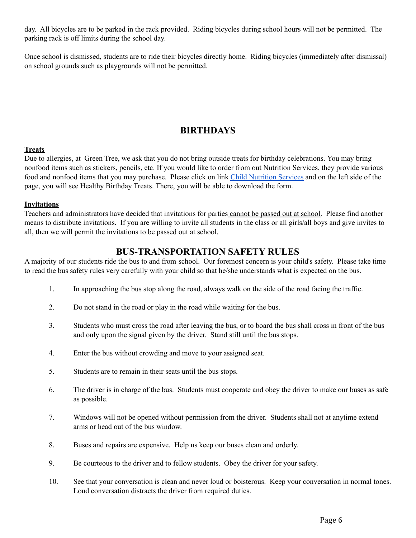day. All bicycles are to be parked in the rack provided. Riding bicycles during school hours will not be permitted. The parking rack is off limits during the school day.

Once school is dismissed, students are to ride their bicycles directly home. Riding bicycles (immediately after dismissal) on school grounds such as playgrounds will not be permitted.

# **BIRTHDAYS**

#### **Treats**

Due to allergies, at Green Tree, we ask that you do not bring outside treats for birthday celebrations. You may bring nonfood items such as stickers, pencils, etc. If you would like to order from out Nutrition Services, they provide various food and nonfood items that you may purchase. Please click on link Child [Nutrition](https://www.wentzville.k12.mo.us/domain/87) Services and on the left side of the page, you will see Healthy Birthday Treats. There, you will be able to download the form.

#### **Invitations**

Teachers and administrators have decided that invitations for parties cannot be passed out at school. Please find another means to distribute invitations. If you are willing to invite all students in the class or all girls/all boys and give invites to all, then we will permit the invitations to be passed out at school.

## **BUS-TRANSPORTATION SAFETY RULES**

A majority of our students ride the bus to and from school. Our foremost concern is your child's safety. Please take time to read the bus safety rules very carefully with your child so that he/she understands what is expected on the bus.

- 1. In approaching the bus stop along the road, always walk on the side of the road facing the traffic.
- 2. Do not stand in the road or play in the road while waiting for the bus.
- 3. Students who must cross the road after leaving the bus, or to board the bus shall cross in front of the bus and only upon the signal given by the driver. Stand still until the bus stops.
- 4. Enter the bus without crowding and move to your assigned seat.
- 5. Students are to remain in their seats until the bus stops.
- 6. The driver is in charge of the bus. Students must cooperate and obey the driver to make our buses as safe as possible.
- 7. Windows will not be opened without permission from the driver. Students shall not at anytime extend arms or head out of the bus window.
- 8. Buses and repairs are expensive. Help us keep our buses clean and orderly.
- 9. Be courteous to the driver and to fellow students. Obey the driver for your safety.
- 10. See that your conversation is clean and never loud or boisterous. Keep your conversation in normal tones. Loud conversation distracts the driver from required duties.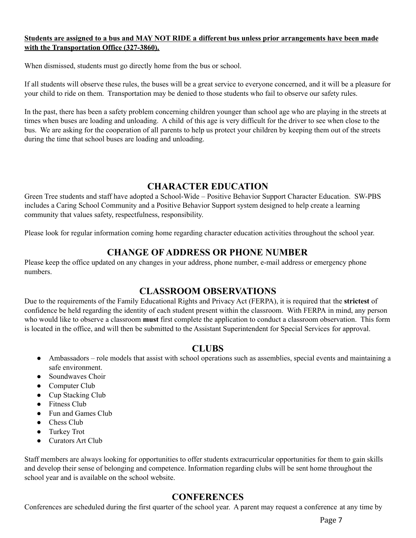## Students are assigned to a bus and MAY NOT RIDE a different bus unless prior arrangements have been made **with the Transportation Office (327-3860).**

When dismissed, students must go directly home from the bus or school.

If all students will observe these rules, the buses will be a great service to everyone concerned, and it will be a pleasure for your child to ride on them. Transportation may be denied to those students who fail to observe our safety rules.

In the past, there has been a safety problem concerning children younger than school age who are playing in the streets at times when buses are loading and unloading. A child of this age is very difficult for the driver to see when close to the bus. We are asking for the cooperation of all parents to help us protect your children by keeping them out of the streets during the time that school buses are loading and unloading.

## **CHARACTER EDUCATION**

Green Tree students and staff have adopted a School-Wide – Positive Behavior Support Character Education. SW-PBS includes a Caring School Community and a Positive Behavior Support system designed to help create a learning community that values safety, respectfulness, responsibility.

Please look for regular information coming home regarding character education activities throughout the school year.

## **CHANGE OF ADDRESS OR PHONE NUMBER**

Please keep the office updated on any changes in your address, phone number, e-mail address or emergency phone numbers.

## **CLASSROOM OBSERVATIONS**

Due to the requirements of the Family Educational Rights and Privacy Act (FERPA), it is required that the **strictest** of confidence be held regarding the identity of each student present within the classroom. With FERPA in mind, any person who would like to observe a classroom **must** first complete the application to conduct a classroom observation. This form is located in the office, and will then be submitted to the Assistant Superintendent for Special Services for approval.

## **CLUBS**

- Ambassadors role models that assist with school operations such as assemblies, special events and maintaining a safe environment.
- Soundwaves Choir
- Computer Club
- Cup Stacking Club
- Fitness Club
- Fun and Games Club
- Chess Club
- Turkey Trot
- Curators Art Club

Staff members are always looking for opportunities to offer students extracurricular opportunities for them to gain skills and develop their sense of belonging and competence. Information regarding clubs will be sent home throughout the school year and is available on the school website.

## **CONFERENCES**

Conferences are scheduled during the first quarter of the school year. A parent may request a conference at any time by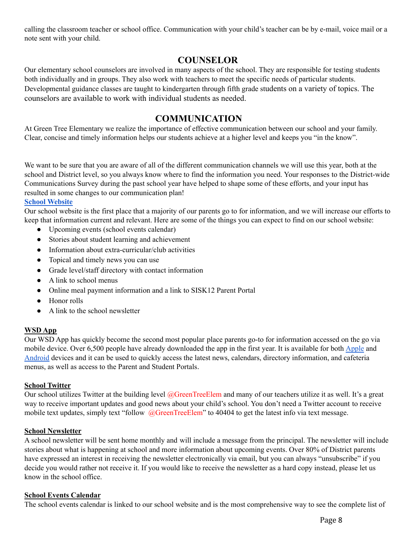calling the classroom teacher or school office. Communication with your child's teacher can be by e-mail, voice mail or a note sent with your child.

## **COUNSELOR**

Our elementary school counselors are involved in many aspects of the school. They are responsible for testing students both individually and in groups. They also work with teachers to meet the specific needs of particular students. Developmental guidance classes are taught to kindergarten through fifth grade students on a variety of topics. The counselors are available to work with individual students as needed.

## **COMMUNICATION**

At Green Tree Elementary we realize the importance of effective communication between our school and your family. Clear, concise and timely information helps our students achieve at a higher level and keeps you "in the know".

We want to be sure that you are aware of all of the different communication channels we will use this year, both at the school and District level, so you always know where to find the information you need. Your responses to the District-wide Communications Survey during the past school year have helped to shape some of these efforts, and your input has resulted in some changes to our communication plan!

## **School [Website](https://www.wentzville.k12.mo.us/site/Default.aspx?PageID=19)**

Our school website is the first place that a majority of our parents go to for information, and we will increase our efforts to keep that information current and relevant. Here are some of the things you can expect to find on our school website:

- Upcoming events (school events calendar)
- Stories about student learning and achievement
- Information about extra-curricular/club activities
- Topical and timely news you can use
- Grade level/staff directory with contact information
- A link to school menus
- Online meal payment information and a link to SISK12 Parent Portal
- Honor rolls
- A link to the school newsletter

## **WSD App**

Our WSD App has quickly become the second most popular place parents go-to for information accessed on the go via mobile device. Over 6,500 people have already downloaded the app in the first year. It is available for both [Apple](https://itunes.apple.com/us/app/wentzville-school-district/id1022435718?ls=1&mt=8) and [Android](https://play.google.com/store/apps/details?id=com.blackboard.community.wentzville) devices and it can be used to quickly access the latest news, calendars, directory information, and cafeteria menus, as well as access to the Parent and Student Portals.

## **School Twitter**

Our school utilizes Twitter at the building level @GreenTreeElem and many of our teachers utilize it as well. It's a great way to receive important updates and good news about your child's school. You don't need a Twitter account to receive mobile text updates, simply text "follow @GreenTreeElem" to 40404 to get the latest info via text message.

## **School Newsletter**

A school newsletter will be sent home monthly and will include a message from the principal. The newsletter will include stories about what is happening at school and more information about upcoming events. Over 80% of District parents have expressed an interest in receiving the newsletter electronically via email, but you can always "unsubscribe" if you decide you would rather not receive it. If you would like to receive the newsletter as a hard copy instead, please let us know in the school office.

## **School Events Calendar**

The school events calendar is linked to our school website and is the most comprehensive way to see the complete list of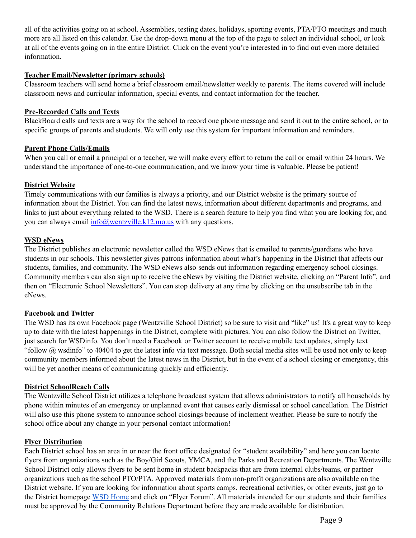all of the activities going on at school. Assemblies, testing dates, holidays, sporting events, PTA/PTO meetings and much more are all listed on this calendar. Use the drop-down menu at the top of the page to select an individual school, or look at all of the events going on in the entire District. Click on the event you're interested in to find out even more detailed information.

## **Teacher Email/Newsletter (primary schools)**

Classroom teachers will send home a brief classroom email/newsletter weekly to parents. The items covered will include classroom news and curricular information, special events, and contact information for the teacher.

#### **Pre-Recorded Calls and Texts**

BlackBoard calls and texts are a way for the school to record one phone message and send it out to the entire school, or to specific groups of parents and students. We will only use this system for important information and reminders.

#### **Parent Phone Calls/Emails**

When you call or email a principal or a teacher, we will make every effort to return the call or email within 24 hours. We understand the importance of one-to-one communication, and we know your time is valuable. Please be patient!

#### **District Website**

Timely communications with our families is always a priority, and our District website is the primary source of information about the District. You can find the latest news, information about different departments and programs, and links to just about everything related to the WSD. There is a search feature to help you find what you are looking for, and you can always email [info@wentzville.k12.mo.us](mailto:info@wentzville.k12.mo.us) with any questions.

#### **WSD eNews**

The District publishes an electronic newsletter called the WSD eNews that is emailed to parents/guardians who have students in our schools. This newsletter gives patrons information about what's happening in the District that affects our students, families, and community. The WSD eNews also sends out information regarding emergency school closings. Community members can also sign up to receive the eNews by visiting the District website, clicking on "Parent Info", and then on "Electronic School Newsletters". You can stop delivery at any time by clicking on the unsubscribe tab in the eNews.

#### **Facebook and Twitter**

The WSD has its own Facebook page (Wentzville School District) so be sure to visit and "like" us! It's a great way to keep up to date with the latest happenings in the District, complete with pictures. You can also follow the District on Twitter, just search for WSDinfo. You don't need a Facebook or Twitter account to receive mobile text updates, simply text "follow @ wsdinfo" to 40404 to get the latest info via text message. Both social media sites will be used not only to keep community members informed about the latest news in the District, but in the event of a school closing or emergency, this will be yet another means of communicating quickly and efficiently.

#### **District SchoolReach Calls**

The Wentzville School District utilizes a telephone broadcast system that allows administrators to notify all households by phone within minutes of an emergency or unplanned event that causes early dismissal or school cancellation. The District will also use this phone system to announce school closings because of inclement weather. Please be sure to notify the school office about any change in your personal contact information!

#### **Flyer Distribution**

Each District school has an area in or near the front office designated for "student availability" and here you can locate flyers from organizations such as the Boy/Girl Scouts, YMCA, and the Parks and Recreation Departments. The Wentzville School District only allows flyers to be sent home in student backpacks that are from internal clubs/teams, or partner organizations such as the school PTO/PTA. Approved materials from non-profit organizations are also available on the District website. If you are looking for information about sports camps, recreational activities, or other events, just go to the District homepage WSD [Home](https://www.wentzville.k12.mo.us/Page/1) and click on "Flyer Forum". All materials intended for our students and their families must be approved by the Community Relations Department before they are made available for distribution.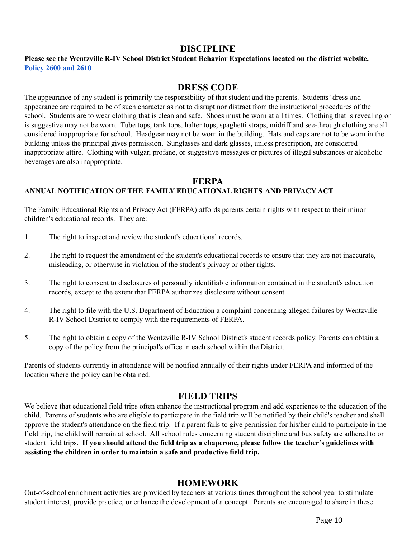## **DISCIPLINE**

## **Please see the Wentzville R-IV School District Student Behavior Expectations located on the district website. [Policy](https://www.boarddocs.com/mo/wsdr4/Board.nsf/Public) 2600 and 2610**

## **DRESS CODE**

The appearance of any student is primarily the responsibility of that student and the parents. Students' dress and appearance are required to be of such character as not to disrupt nor distract from the instructional procedures of the school. Students are to wear clothing that is clean and safe. Shoes must be worn at all times. Clothing that is revealing or is suggestive may not be worn. Tube tops, tank tops, halter tops, spaghetti straps, midriff and see-through clothing are all considered inappropriate for school. Headgear may not be worn in the building. Hats and caps are not to be worn in the building unless the principal gives permission. Sunglasses and dark glasses, unless prescription, are considered inappropriate attire. Clothing with vulgar, profane, or suggestive messages or pictures of illegal substances or alcoholic beverages are also inappropriate.

## **FERPA**

## **ANNUAL NOTIFICATION OF THE FAMILY EDUCATIONAL RIGHTS AND PRIVACY ACT**

The Family Educational Rights and Privacy Act (FERPA) affords parents certain rights with respect to their minor children's educational records. They are:

- 1. The right to inspect and review the student's educational records.
- 2. The right to request the amendment of the student's educational records to ensure that they are not inaccurate, misleading, or otherwise in violation of the student's privacy or other rights.
- 3. The right to consent to disclosures of personally identifiable information contained in the student's education records, except to the extent that FERPA authorizes disclosure without consent.
- 4. The right to file with the U.S. Department of Education a complaint concerning alleged failures by Wentzville R-IV School District to comply with the requirements of FERPA.
- 5. The right to obtain a copy of the Wentzville R-IV School District's student records policy. Parents can obtain a copy of the policy from the principal's office in each school within the District.

Parents of students currently in attendance will be notified annually of their rights under FERPA and informed of the location where the policy can be obtained.

## **FIELD TRIPS**

We believe that educational field trips often enhance the instructional program and add experience to the education of the child. Parents of students who are eligible to participate in the field trip will be notified by their child's teacher and shall approve the student's attendance on the field trip. If a parent fails to give permission for his/her child to participate in the field trip, the child will remain at school. All school rules concerning student discipline and bus safety are adhered to on student field trips. If you should attend the field trip as a chaperone, please follow the teacher's guidelines with **assisting the children in order to maintain a safe and productive field trip.**

## **HOMEWORK**

Out-of-school enrichment activities are provided by teachers at various times throughout the school year to stimulate student interest, provide practice, or enhance the development of a concept. Parents are encouraged to share in these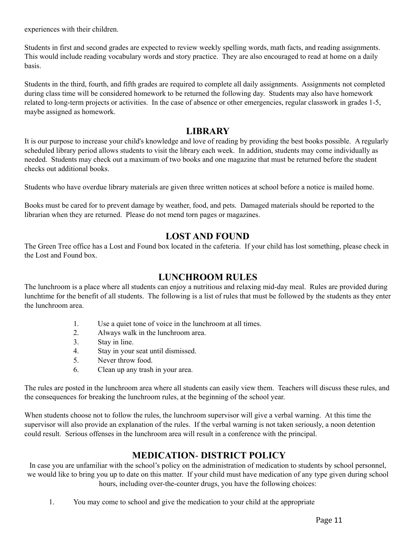experiences with their children.

Students in first and second grades are expected to review weekly spelling words, math facts, and reading assignments. This would include reading vocabulary words and story practice. They are also encouraged to read at home on a daily basis.

Students in the third, fourth, and fifth grades are required to complete all daily assignments. Assignments not completed during class time will be considered homework to be returned the following day. Students may also have homework related to long-term projects or activities. In the case of absence or other emergencies, regular classwork in grades 1-5, maybe assigned as homework.

## **LIBRARY**

It is our purpose to increase your child's knowledge and love of reading by providing the best books possible. A regularly scheduled library period allows students to visit the library each week. In addition, students may come individually as needed. Students may check out a maximum of two books and one magazine that must be returned before the student checks out additional books.

Students who have overdue library materials are given three written notices at school before a notice is mailed home.

Books must be cared for to prevent damage by weather, food, and pets. Damaged materials should be reported to the librarian when they are returned. Please do not mend torn pages or magazines.

## **LOST AND FOUND**

The Green Tree office has a Lost and Found box located in the cafeteria. If your child has lost something, please check in the Lost and Found box.

## **LUNCHROOM RULES**

The lunchroom is a place where all students can enjoy a nutritious and relaxing mid-day meal. Rules are provided during lunchtime for the benefit of all students. The following is a list of rules that must be followed by the students as they enter the lunchroom area.

- 1. Use a quiet tone of voice in the lunchroom at all times.
- 2. Always walk in the lunchroom area.
- 3. Stay in line.
- 4. Stay in your seat until dismissed.
- 5. Never throw food.
- 6. Clean up any trash in your area.

The rules are posted in the lunchroom area where all students can easily view them. Teachers will discuss these rules, and the consequences for breaking the lunchroom rules, at the beginning of the school year.

When students choose not to follow the rules, the lunchroom supervisor will give a verbal warning. At this time the supervisor will also provide an explanation of the rules. If the verbal warning is not taken seriously, a noon detention could result. Serious offenses in the lunchroom area will result in a conference with the principal.

## **MEDICATION**- **DISTRICT POLICY**

In case you are unfamiliar with the school's policy on the administration of medication to students by school personnel, we would like to bring you up to date on this matter. If your child must have medication of any type given during school hours, including over-the-counter drugs, you have the following choices:

1. You may come to school and give the medication to your child at the appropriate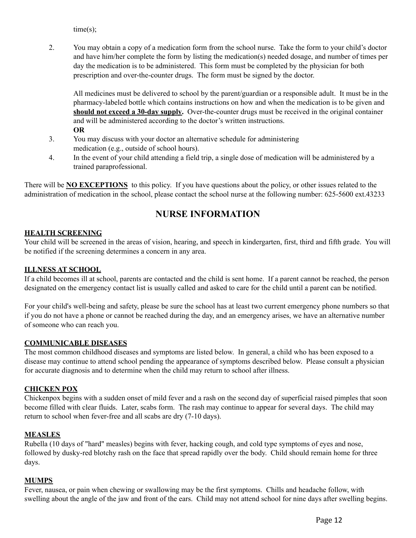time(s);

2. You may obtain a copy of a medication form from the school nurse. Take the form to your child's doctor and have him/her complete the form by listing the medication(s) needed dosage, and number of times per day the medication is to be administered. This form must be completed by the physician for both prescription and over-the-counter drugs. The form must be signed by the doctor.

All medicines must be delivered to school by the parent/guardian or a responsible adult. It must be in the pharmacy-labeled bottle which contains instructions on how and when the medication is to be given and **should not exceed a 30-day supply.** Over-the-counter drugs must be received in the original container and will be administered according to the doctor's written instructions. **OR**

- 3. You may discuss with your doctor an alternative schedule for administering medication (e.g., outside of school hours).
- 4. In the event of your child attending a field trip, a single dose of medication will be administered by a trained paraprofessional.

There will be **NO EXCEPTIONS** to this policy. If you have questions about the policy, or other issues related to the administration of medication in the school, please contact the school nurse at the following number: 625-5600 ext.43233

# **NURSE INFORMATION**

## **HEALTH SCREENING**

Your child will be screened in the areas of vision, hearing, and speech in kindergarten, first, third and fifth grade. You will be notified if the screening determines a concern in any area.

## **ILLNESS AT SCHOOL**

If a child becomes ill at school, parents are contacted and the child is sent home. If a parent cannot be reached, the person designated on the emergency contact list is usually called and asked to care for the child until a parent can be notified.

For your child's well-being and safety, please be sure the school has at least two current emergency phone numbers so that if you do not have a phone or cannot be reached during the day, and an emergency arises, we have an alternative number of someone who can reach you.

## **COMMUNICABLE DISEASES**

The most common childhood diseases and symptoms are listed below. In general, a child who has been exposed to a disease may continue to attend school pending the appearance of symptoms described below. Please consult a physician for accurate diagnosis and to determine when the child may return to school after illness.

## **CHICKEN POX**

Chickenpox begins with a sudden onset of mild fever and a rash on the second day of superficial raised pimples that soon become filled with clear fluids. Later, scabs form. The rash may continue to appear for several days. The child may return to school when fever-free and all scabs are dry (7-10 days).

#### **MEASLES**

Rubella (10 days of "hard" measles) begins with fever, hacking cough, and cold type symptoms of eyes and nose, followed by dusky-red blotchy rash on the face that spread rapidly over the body. Child should remain home for three days.

## **MUMPS**

Fever, nausea, or pain when chewing or swallowing may be the first symptoms. Chills and headache follow, with swelling about the angle of the jaw and front of the ears. Child may not attend school for nine days after swelling begins.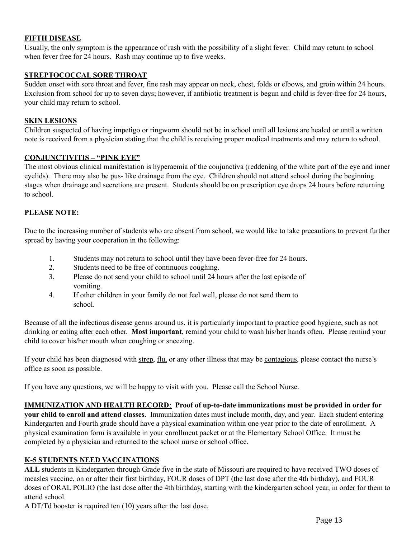## **FIFTH DISEASE**

Usually, the only symptom is the appearance of rash with the possibility of a slight fever. Child may return to school when fever free for 24 hours. Rash may continue up to five weeks.

## **STREPTOCOCCAL SORE THROAT**

Sudden onset with sore throat and fever, fine rash may appear on neck, chest, folds or elbows, and groin within 24 hours. Exclusion from school for up to seven days; however, if antibiotic treatment is begun and child is fever-free for 24 hours, your child may return to school.

#### **SKIN LESIONS**

Children suspected of having impetigo or ringworm should not be in school until all lesions are healed or until a written note is received from a physician stating that the child is receiving proper medical treatments and may return to school.

#### **CONJUNCTIVITIS – "PINK EYE"**

The most obvious clinical manifestation is hyperaemia of the conjunctiva (reddening of the white part of the eye and inner eyelids). There may also be pus- like drainage from the eye. Children should not attend school during the beginning stages when drainage and secretions are present. Students should be on prescription eye drops 24 hours before returning to school.

#### **PLEASE NOTE:**

Due to the increasing number of students who are absent from school, we would like to take precautions to prevent further spread by having your cooperation in the following:

- 1. Students may not return to school until they have been fever-free for 24 hours.
- 2. Students need to be free of continuous coughing.
- 3. Please do not send your child to school until 24 hours after the last episode of vomiting.
- 4. If other children in your family do not feel well, please do not send them to school.

Because of all the infectious disease germs around us, it is particularly important to practice good hygiene, such as not drinking or eating after each other. **Most important**, remind your child to wash his/her hands often. Please remind your child to cover his/her mouth when coughing or sneezing.

If your child has been diagnosed with strep, flu, or any other illness that may be contagious, please contact the nurse's office as soon as possible.

If you have any questions, we will be happy to visit with you. Please call the School Nurse.

**IMMUNIZATION AND HEALTH RECORD**: **Proof of up-to-date immunizations must be provided in order for your child to enroll and attend classes.** Immunization dates must include month, day, and year. Each student entering Kindergarten and Fourth grade should have a physical examination within one year prior to the date of enrollment. A physical examination form is available in your enrollment packet or at the Elementary School Office. It must be completed by a physician and returned to the school nurse or school office.

## **K-5 STUDENTS NEED VACCINATIONS**

**ALL** students in Kindergarten through Grade five in the state of Missouri are required to have received TWO doses of measles vaccine, on or after their first birthday, FOUR doses of DPT (the last dose after the 4th birthday), and FOUR doses of ORAL POLIO (the last dose after the 4th birthday, starting with the kindergarten school year, in order for them to attend school.

A DT/Td booster is required ten (10) years after the last dose.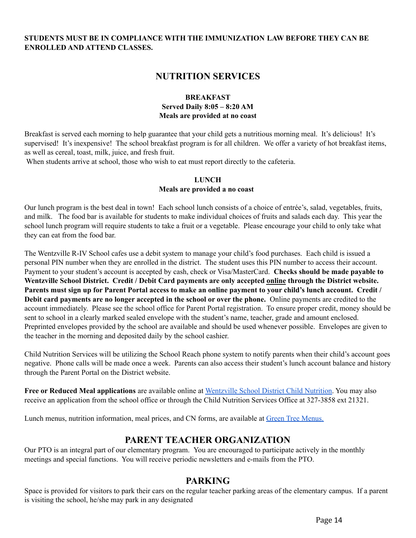## **STUDENTS MUST BE IN COMPLIANCE WITH THE IMMUNIZATION LAW BEFORE THEY CAN BE ENROLLED AND ATTEND CLASSES.**

## **NUTRITION SERVICES**

#### **BREAKFAST Served Daily 8:05 – 8:20 AM Meals are provided at no coast**

Breakfast is served each morning to help guarantee that your child gets a nutritious morning meal. It's delicious! It's supervised! It's inexpensive! The school breakfast program is for all children. We offer a variety of hot breakfast items, as well as cereal, toast, milk, juice, and fresh fruit.

When students arrive at school, those who wish to eat must report directly to the cafeteria.

## **LUNCH Meals are provided a no coast**

Our lunch program is the best deal in town! Each school lunch consists of a choice of entrée's, salad, vegetables, fruits, and milk. The food bar is available for students to make individual choices of fruits and salads each day. This year the school lunch program will require students to take a fruit or a vegetable. Please encourage your child to only take what they can eat from the food bar.

The Wentzville R-IV School cafes use a debit system to manage your child's food purchases. Each child is issued a personal PIN number when they are enrolled in the district. The student uses this PIN number to access their account. Payment to your student's account is accepted by cash, check or Visa/MasterCard. **Checks should be made payable to Wentzville School District. Credit / Debit Card payments are only accepted online through the District website.** Parents must sign up for Parent Portal access to make an online payment to your child's lunch account. Credit / **Debit card payments are no longer accepted in the school or over the phone.** Online payments are credited to the account immediately. Please see the school office for Parent Portal registration. To ensure proper credit, money should be sent to school in a clearly marked sealed envelope with the student's name, teacher, grade and amount enclosed. Preprinted envelopes provided by the school are available and should be used whenever possible. Envelopes are given to the teacher in the morning and deposited daily by the school cashier.

Child Nutrition Services will be utilizing the School Reach phone system to notify parents when their child's account goes negative. Phone calls will be made once a week. Parents can also access their student's lunch account balance and history through the Parent Portal on the District website.

**Free or Reduced Meal applications** are available online at [Wentzville](https://www.wentzville.k12.mo.us/Page/5276) School District Child Nutrition. You may also receive an application from the school office or through the Child Nutrition Services Office at 327-3858 ext 21321.

Lunch menus, nutrition information, meal prices, and CN forms, are available at Green Tree [Menus.](http://wentzville.nutrislice.com/menu/green-tree)

## **PARENT TEACHER ORGANIZATION**

Our PTO is an integral part of our elementary program. You are encouraged to participate actively in the monthly meetings and special functions. You will receive periodic newsletters and e-mails from the PTO.

## **PARKING**

Space is provided for visitors to park their cars on the regular teacher parking areas of the elementary campus. If a parent is visiting the school, he/she may park in any designated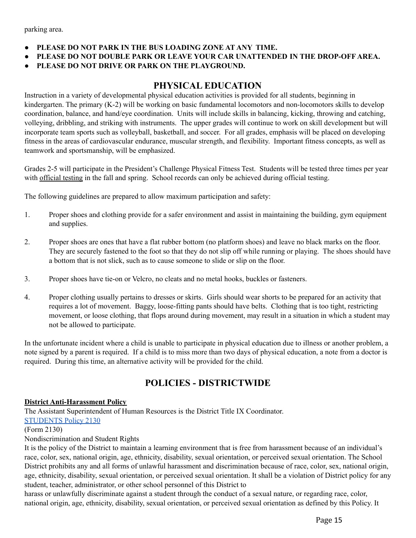parking area.

- **● PLEASE DO NOT PARK IN THE BUS LOADING ZONE AT ANY TIME.**
- **● PLEASE DO NOT DOUBLE PARK OR LEAVE YOUR CAR UNATTENDED IN THE DROP-OFF AREA.**
- **● PLEASE DO NOT DRIVE OR PARK ON THE PLAYGROUND.**

## **PHYSICAL EDUCATION**

Instruction in a variety of developmental physical education activities is provided for all students, beginning in kindergarten. The primary (K-2) will be working on basic fundamental locomotors and non-locomotors skills to develop coordination, balance, and hand/eye coordination. Units will include skills in balancing, kicking, throwing and catching, volleying, dribbling, and striking with instruments. The upper grades will continue to work on skill development but will incorporate team sports such as volleyball, basketball, and soccer. For all grades, emphasis will be placed on developing fitness in the areas of cardiovascular endurance, muscular strength, and flexibility. Important fitness concepts, as well as teamwork and sportsmanship, will be emphasized.

Grades 2-5 will participate in the President's Challenge Physical Fitness Test. Students will be tested three times per year with official testing in the fall and spring. School records can only be achieved during official testing.

The following guidelines are prepared to allow maximum participation and safety:

- 1. Proper shoes and clothing provide for a safer environment and assist in maintaining the building, gym equipment and supplies.
- 2. Proper shoes are ones that have a flat rubber bottom (no platform shoes) and leave no black marks on the floor. They are securely fastened to the foot so that they do not slip off while running or playing. The shoes should have a bottom that is not slick, such as to cause someone to slide or slip on the floor.
- 3. Proper shoes have tie-on or Velcro, no cleats and no metal hooks, buckles or fasteners.
- 4. Proper clothing usually pertains to dresses or skirts. Girls should wear shorts to be prepared for an activity that requires a lot of movement. Baggy, loose-fitting pants should have belts. Clothing that is too tight, restricting movement, or loose clothing, that flops around during movement, may result in a situation in which a student may not be allowed to participate.

In the unfortunate incident where a child is unable to participate in physical education due to illness or another problem, a note signed by a parent is required. If a child is to miss more than two days of physical education, a note from a doctor is required. During this time, an alternative activity will be provided for the child.

## **POLICIES - DISTRICTWIDE**

#### **District Anti-Harassment Policy**

The Assistant Superintendent of Human Resources is the District Title IX Coordinator. [STUDENTS](http://www.boarddocs.com/mo/wsdr4/Board.nsf/Public#) Policy 2130

#### (Form 2130)

Nondiscrimination and Student Rights

It is the policy of the District to maintain a learning environment that is free from harassment because of an individual's race, color, sex, national origin, age, ethnicity, disability, sexual orientation, or perceived sexual orientation. The School District prohibits any and all forms of unlawful harassment and discrimination because of race, color, sex, national origin, age, ethnicity, disability, sexual orientation, or perceived sexual orientation. It shall be a violation of District policy for any student, teacher, administrator, or other school personnel of this District to

harass or unlawfully discriminate against a student through the conduct of a sexual nature, or regarding race, color, national origin, age, ethnicity, disability, sexual orientation, or perceived sexual orientation as defined by this Policy. It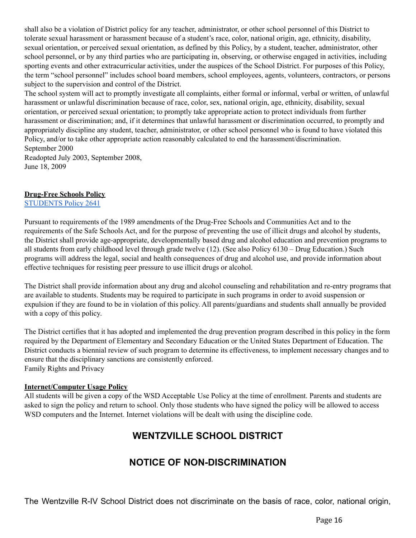shall also be a violation of District policy for any teacher, administrator, or other school personnel of this District to tolerate sexual harassment or harassment because of a student's race, color, national origin, age, ethnicity, disability, sexual orientation, or perceived sexual orientation, as defined by this Policy, by a student, teacher, administrator, other school personnel, or by any third parties who are participating in, observing, or otherwise engaged in activities, including sporting events and other extracurricular activities, under the auspices of the School District. For purposes of this Policy, the term "school personnel" includes school board members, school employees, agents, volunteers, contractors, or persons subject to the supervision and control of the District.

The school system will act to promptly investigate all complaints, either formal or informal, verbal or written, of unlawful harassment or unlawful discrimination because of race, color, sex, national origin, age, ethnicity, disability, sexual orientation, or perceived sexual orientation; to promptly take appropriate action to protect individuals from further harassment or discrimination; and, if it determines that unlawful harassment or discrimination occurred, to promptly and appropriately discipline any student, teacher, administrator, or other school personnel who is found to have violated this Policy, and/or to take other appropriate action reasonably calculated to end the harassment/discrimination. September 2000

Readopted July 2003, September 2008, June 18, 2009

## **Drug-Free Schools Policy**

[STUDENTS](http://www.boarddocs.com/mo/wsdr4/Board.nsf/Public#) Policy 2641

Pursuant to requirements of the 1989 amendments of the Drug-Free Schools and Communities Act and to the requirements of the Safe Schools Act, and for the purpose of preventing the use of illicit drugs and alcohol by students, the District shall provide age-appropriate, developmentally based drug and alcohol education and prevention programs to all students from early childhood level through grade twelve (12). (See also Policy 6130 – Drug Education.) Such programs will address the legal, social and health consequences of drug and alcohol use, and provide information about effective techniques for resisting peer pressure to use illicit drugs or alcohol.

The District shall provide information about any drug and alcohol counseling and rehabilitation and re-entry programs that are available to students. Students may be required to participate in such programs in order to avoid suspension or expulsion if they are found to be in violation of this policy. All parents/guardians and students shall annually be provided with a copy of this policy.

The District certifies that it has adopted and implemented the drug prevention program described in this policy in the form required by the Department of Elementary and Secondary Education or the United States Department of Education. The District conducts a biennial review of such program to determine its effectiveness, to implement necessary changes and to ensure that the disciplinary sanctions are consistently enforced. Family Rights and Privacy

## **Internet/Computer Usage Policy**

All students will be given a copy of the WSD Acceptable Use Policy at the time of enrollment. Parents and students are asked to sign the policy and return to school. Only those students who have signed the policy will be allowed to access WSD computers and the Internet. Internet violations will be dealt with using the discipline code.

# **WENTZVILLE SCHOOL DISTRICT**

# **NOTICE OF NON-DISCRIMINATION**

The Wentzville R-IV School District does not discriminate on the basis of race, color, national origin,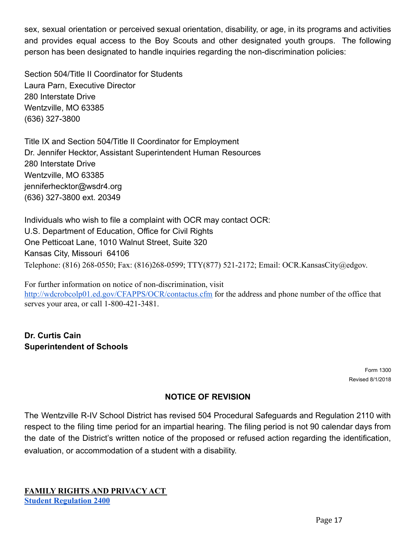sex, sexual orientation or perceived sexual orientation, disability, or age, in its programs and activities and provides equal access to the Boy Scouts and other designated youth groups. The following person has been designated to handle inquiries regarding the non-discrimination policies:

Section 504/Title II Coordinator for Students Laura Parn, Executive Director 280 Interstate Drive Wentzville, MO 63385 (636) 327-3800

Title IX and Section 504/Title II Coordinator for Employment Dr. Jennifer Hecktor, Assistant Superintendent Human Resources 280 Interstate Drive Wentzville, MO 63385 jenniferhecktor@wsdr4.org (636) 327-3800 ext. 20349

Individuals who wish to file a complaint with OCR may contact OCR: U.S. Department of Education, Office for Civil Rights One Petticoat Lane, 1010 Walnut Street, Suite 320 Kansas City, Missouri 64106 Telephone: (816) 268-0550; Fax: (816)268-0599; TTY(877) 521-2172; Email: OCR.KansasCity@edgov.

For further information on notice of non-discrimination, visi[t](http://wdcrobcolp01.ed.gov/CFAPPS/OCR/contactus.cfm) <http://wdcrobcolp01.ed.gov/CFAPPS/OCR/contactus.cfm> for the address and phone number of the office that serves your area, or call 1-800-421-3481.

**Dr. Curtis Cain Superintendent of Schools**

> Form 1300 Revised 8/1/2018

## **NOTICE OF REVISION**

The Wentzville R-IV School District has revised 504 Procedural Safeguards and Regulation 2110 with respect to the filing time period for an impartial hearing. The filing period is not 90 calendar days from the date of the District's written notice of the proposed or refused action regarding the identification, evaluation, or accommodation of a student with a disability.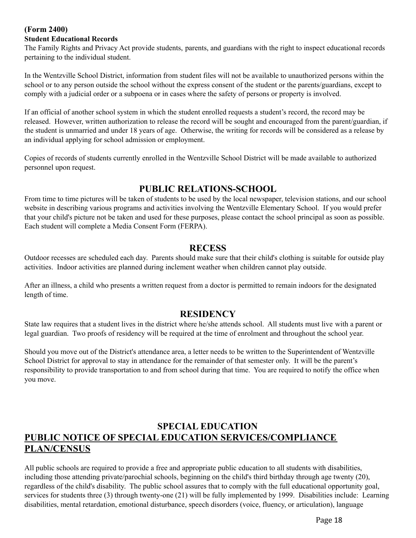## **(Form 2400)**

#### **Student Educational Records**

The Family Rights and Privacy Act provide students, parents, and guardians with the right to inspect educational records pertaining to the individual student.

In the Wentzville School District, information from student files will not be available to unauthorized persons within the school or to any person outside the school without the express consent of the student or the parents/guardians, except to comply with a judicial order or a subpoena or in cases where the safety of persons or property is involved.

If an official of another school system in which the student enrolled requests a student's record, the record may be released. However, written authorization to release the record will be sought and encouraged from the parent/guardian, if the student is unmarried and under 18 years of age. Otherwise, the writing for records will be considered as a release by an individual applying for school admission or employment.

Copies of records of students currently enrolled in the Wentzville School District will be made available to authorized personnel upon request.

## **PUBLIC RELATIONS-SCHOOL**

From time to time pictures will be taken of students to be used by the local newspaper, television stations, and our school website in describing various programs and activities involving the Wentzville Elementary School. If you would prefer that your child's picture not be taken and used for these purposes, please contact the school principal as soon as possible. Each student will complete a Media Consent Form (FERPA).

## **RECESS**

Outdoor recesses are scheduled each day. Parents should make sure that their child's clothing is suitable for outside play activities. Indoor activities are planned during inclement weather when children cannot play outside.

After an illness, a child who presents a written request from a doctor is permitted to remain indoors for the designated length of time.

## **RESIDENCY**

State law requires that a student lives in the district where he/she attends school. All students must live with a parent or legal guardian. Two proofs of residency will be required at the time of enrolment and throughout the school year.

Should you move out of the District's attendance area, a letter needs to be written to the Superintendent of Wentzville School District for approval to stay in attendance for the remainder of that semester only. It will be the parent's responsibility to provide transportation to and from school during that time. You are required to notify the office when you move.

# **SPECIAL EDUCATION PUBLIC NOTICE OF SPECIAL EDUCATION SERVICES/COMPLIANCE PLAN/CENSUS**

All public schools are required to provide a free and appropriate public education to all students with disabilities, including those attending private/parochial schools, beginning on the child's third birthday through age twenty (20), regardless of the child's disability. The public school assures that to comply with the full educational opportunity goal, services for students three (3) through twenty-one (21) will be fully implemented by 1999. Disabilities include: Learning disabilities, mental retardation, emotional disturbance, speech disorders (voice, fluency, or articulation), language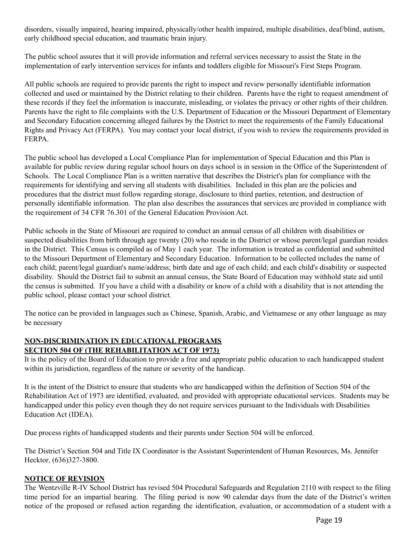disorders, visually impaired, hearing impaired, physically/other health impaired, multiple disabilities, deaf/blind, autism, early childhood special education, and traumatic brain injury.

The public school assures that it will provide information and referral services necessary to assist the State in the implementation of early intervention services for infants and toddlers eligible for Missouri's First Steps Program.

All public schools are required to provide parents the right to inspect and review personally identifiable information collected and used or maintained by the District relating to their children. Parents have the right to request amendment of these records if they feel the information is inaccurate, misleading, or violates the privacy or other rights of their children. Parents have the right to file complaints with the U.S. Department of Education or the Missouri Department of Elementary and Secondary Education concerning alleged failures by the District to meet the requirements of the Family Educational Rights and Privacy Act (FERPA). You may contact your local district, if you wish to review the requirements provided in FERPA.

The public school has developed a Local Compliance Plan for implementation of Special Education and this Plan is available for public review during regular school hours on days school is in session in the Office of the Superintendent of Schools. The Local Compliance Plan is a written narrative that describes the District's plan for compliance with the requirements for identifying and serving all students with disabilities. Included in this plan are the policies and procedures that the district must follow regarding storage, disclosure to third parties, retention, and destruction of personally identifiable information. The plan also describes the assurances that services are provided in compliance with the requirement of 34 CFR 76.301 of the General Education Provision Act.

Public schools in the State of Missouri are required to conduct an annual census of all children with disabilities or suspected disabilities from birth through age twenty (20) who reside in the District or whose parent/legal guardian resides in the District. This Census is compiled as of May 1 each year. The information is treated as confidential and submitted to the Missouri Department of Elementary and Secondary Education. Information to be collected includes the name of each child; parent/legal guardian's name/address; birth date and age of each child; and each child's disability or suspected disability. Should the District fail to submit an annual census, the State Board of Education may withhold state aid until the census is submitted. If you have a child with a disability or know of a child with a disability that is not attending the public school, please contact your school district.

The notice can be provided in languages such as Chinese, Spanish, Arabic, and Vietnamese or any other language as may be necessary

## **NON-DISCRIMINATION IN EDUCATIONAL PROGRAMS SECTION 504 OF (THE REHABILITATION ACT OF 1973)**

It is the policy of the Board of Education to provide a free and appropriate public education to each handicapped student within its jurisdiction, regardless of the nature or severity of the handicap.

It is the intent of the District to ensure that students who are handicapped within the definition of Section 504 of the Rehabilitation Act of 1973 are identified, evaluated, and provided with appropriate educational services. Students may be handicapped under this policy even though they do not require services pursuant to the Individuals with Disabilities Education Act (IDEA).

Due process rights of handicapped students and their parents under Section 504 will be enforced.

The District's Section 504 and Title IX Coordinator is the Assistant Superintendent of Human Resources, Ms. Jennifer Hecktor, (636)327-3800.

## **NOTICE OF REVISION**

The Wentzville R-IV School District has revised 504 Procedural Safeguards and Regulation 2110 with respect to the filing time period for an impartial hearing. The filing period is now 90 calendar days from the date of the District's written notice of the proposed or refused action regarding the identification, evaluation, or accommodation of a student with a